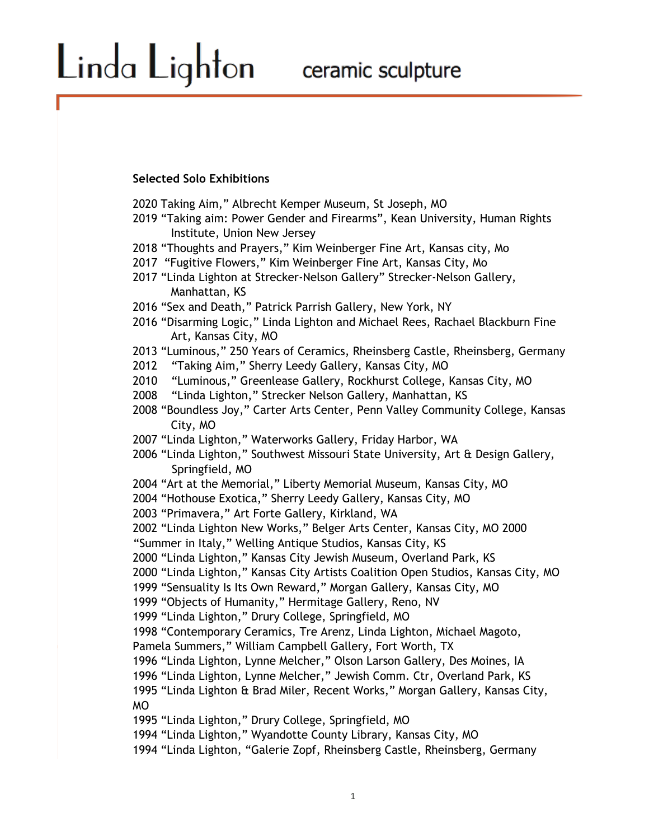#### **Selected Solo Exhibitions**

Linda Lighton

2020 Taking Aim," Albrecht Kemper Museum, St Joseph, MO

2019 "Taking aim: Power Gender and Firearms", Kean University, Human Rights Institute, Union New Jersey

2018 "Thoughts and Prayers," Kim Weinberger Fine Art, Kansas city, Mo

2017 "Fugitive Flowers," Kim Weinberger Fine Art, Kansas City, Mo

2017 "Linda Lighton at Strecker-Nelson Gallery" Strecker-Nelson Gallery, Manhattan, KS

2016 "Sex and Death," Patrick Parrish Gallery, New York, NY

2016 "Disarming Logic," Linda Lighton and Michael Rees, Rachael Blackburn Fine Art, Kansas City, MO

2013 "Luminous," 250 Years of Ceramics, Rheinsberg Castle, Rheinsberg, Germany

2012 "Taking Aim," Sherry Leedy Gallery, Kansas City, MO

2010 "Luminous," Greenlease Gallery, Rockhurst College, Kansas City, MO

2008 "Linda Lighton," Strecker Nelson Gallery, Manhattan, KS

2008 "Boundless Joy," Carter Arts Center, Penn Valley Community College, Kansas City, MO

2007 "Linda Lighton," Waterworks Gallery, Friday Harbor, WA

2006 "Linda Lighton," Southwest Missouri State University, Art & Design Gallery, Springfield, MO

2004 "Art at the Memorial," Liberty Memorial Museum, Kansas City, MO

2004 "Hothouse Exotica," Sherry Leedy Gallery, Kansas City, MO

2003 "Primavera," Art Forte Gallery, Kirkland, WA

2002 "Linda Lighton New Works," Belger Arts Center, Kansas City, MO 2000

"Summer in Italy," Welling Antique Studios, Kansas City, KS

2000 "Linda Lighton," Kansas City Jewish Museum, Overland Park, KS

2000 "Linda Lighton," Kansas City Artists Coalition Open Studios, Kansas City, MO

1999 "Sensuality Is Its Own Reward," Morgan Gallery, Kansas City, MO

1999 "Objects of Humanity," Hermitage Gallery, Reno, NV

1999 "Linda Lighton," Drury College, Springfield, MO

1998 "Contemporary Ceramics, Tre Arenz, Linda Lighton, Michael Magoto,

Pamela Summers," William Campbell Gallery, Fort Worth, TX

1996 "Linda Lighton, Lynne Melcher," Olson Larson Gallery, Des Moines, IA

1996 "Linda Lighton, Lynne Melcher," Jewish Comm. Ctr, Overland Park, KS

1995 "Linda Lighton & Brad Miler, Recent Works," Morgan Gallery, Kansas City, MO

1995 "Linda Lighton," Drury College, Springfield, MO

1994 "Linda Lighton," Wyandotte County Library, Kansas City, MO

1994 "Linda Lighton, "Galerie Zopf, Rheinsberg Castle, Rheinsberg, Germany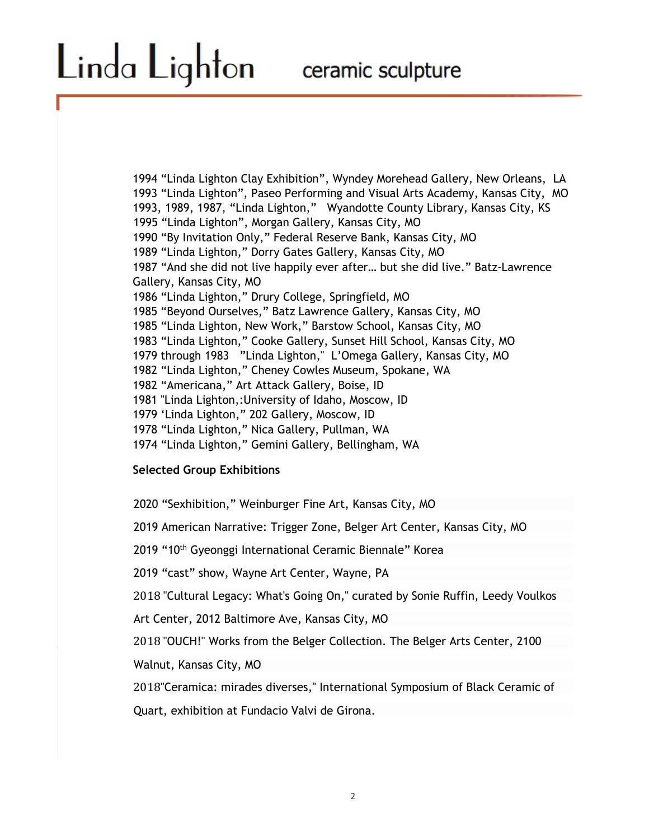1994 "Linda Lighton Clay Exhibition", Wyndey Morehead Gallery, New Orleans, LA 1993 "Linda Lighton", Paseo Performing and Visual Arts Academy, Kansas City, MO 1993, 1989, 1987, "Linda Lighton," Wyandotte County Library, Kansas City, KS 1995 "Linda Lighton", Morgan Gallery, Kansas City, MO 1990 "By Invitation Only," Federal Reserve Bank, Kansas City, MO 1989 "Linda Lighton," Dorry Gates Gallery, Kansas City, MO 1987 "And she did not live happily ever after… but she did live." Batz-Lawrence Gallery, Kansas City, MO 1986 "Linda Lighton," Drury College, Springfield, MO 1985 "Beyond Ourselves," Batz Lawrence Gallery, Kansas City, MO 1985 "Linda Lighton, New Work," Barstow School, Kansas City, MO 1983 "Linda Lighton," Cooke Gallery, Sunset Hill School, Kansas City, MO 1979 through 1983 "Linda Lighton," L'Omega Gallery, Kansas City, MO 1982 "Linda Lighton," Cheney Cowles Museum, Spokane, WA 1982 "Americana," Art Attack Gallery, Boise, ID 1981 "Linda Lighton,:University of Idaho, Moscow, ID 1979 'Linda Lighton," 202 Gallery, Moscow, ID 1978 "Linda Lighton," Nica Gallery, Pullman, WA 1974 "Linda Lighton," Gemini Gallery, Bellingham, WA

### **Selected Group Exhibitions**

2020 "Sexhibition," Weinburger Fine Art, Kansas City, MO

2019 American Narrative: Trigger Zone, Belger Art Center, Kansas City, MO

2019 "10<sup>th</sup> Gyeonggi International Ceramic Biennale" Korea

2019 "cast" show, Wayne Art Center, Wayne, PA

2018 "Cultural Legacy: What's Going On," curated by Sonie Ruffin, Leedy Voulkos

Art Center, 2012 Baltimore Ave, Kansas City, MO

2018 "OUCH!" Works from the Belger Collection. The Belger Arts Center, 2100

Walnut, Kansas City, MO

2018"Ceramica: mirades diverses," International Symposium of Black Ceramic of

Quart, exhibition at Fundacio Valvi de Girona.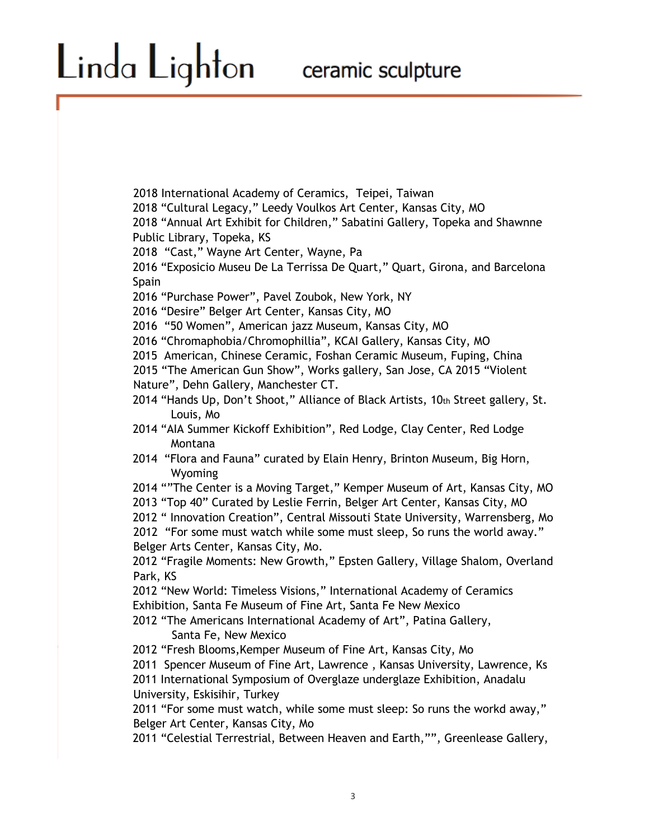2018 International Academy of Ceramics, Teipei, Taiwan

2018 "Cultural Legacy," Leedy Voulkos Art Center, Kansas City, MO

2018 "Annual Art Exhibit for Children," Sabatini Gallery, Topeka and Shawnne Public Library, Topeka, KS

2018 "Cast," Wayne Art Center, Wayne, Pa

2016 "Exposicio Museu De La Terrissa De Quart," Quart, Girona, and Barcelona **Spain** 

2016 "Purchase Power", Pavel Zoubok, New York, NY

2016 "Desire" Belger Art Center, Kansas City, MO

2016 "50 Women", American jazz Museum, Kansas City, MO

2016 "Chromaphobia/Chromophillia", KCAI Gallery, Kansas City, MO

2015 American, Chinese Ceramic, Foshan Ceramic Museum, Fuping, China

2015 "The American Gun Show", Works gallery, San Jose, CA 2015 "Violent Nature", Dehn Gallery, Manchester CT.

2014 "Hands Up, Don't Shoot," Alliance of Black Artists, 10th Street gallery, St. Louis, Mo

2014 "AIA Summer Kickoff Exhibition", Red Lodge, Clay Center, Red Lodge Montana

2014 "Flora and Fauna" curated by Elain Henry, Brinton Museum, Big Horn, Wyoming

2014 ""The Center is a Moving Target," Kemper Museum of Art, Kansas City, MO 2013 "Top 40" Curated by Leslie Ferrin, Belger Art Center, Kansas City, MO

2012 " Innovation Creation", Central Missouti State University, Warrensberg, Mo

2012 "For some must watch while some must sleep, So runs the world away." Belger Arts Center, Kansas City, Mo.

2012 "Fragile Moments: New Growth," Epsten Gallery, Village Shalom, Overland Park, KS

2012 "New World: Timeless Visions," International Academy of Ceramics Exhibition, Santa Fe Museum of Fine Art, Santa Fe New Mexico

2012 "The Americans International Academy of Art", Patina Gallery, Santa Fe, New Mexico

2012 "Fresh Blooms,Kemper Museum of Fine Art, Kansas City, Mo

2011 Spencer Museum of Fine Art, Lawrence , Kansas University, Lawrence, Ks

2011 International Symposium of Overglaze underglaze Exhibition, Anadalu University, Eskisihir, Turkey

2011 "For some must watch, while some must sleep: So runs the workd away," Belger Art Center, Kansas City, Mo

2011 "Celestial Terrestrial, Between Heaven and Earth,"", Greenlease Gallery,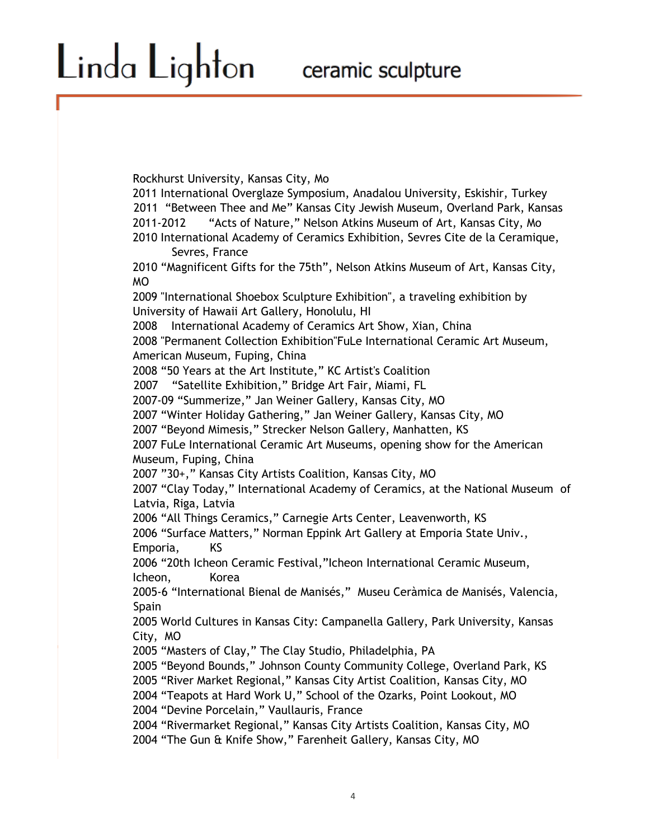Rockhurst University, Kansas City, Mo 2011 International Overglaze Symposium, Anadalou University, Eskishir, Turkey 2011 "Between Thee and Me" Kansas City Jewish Museum, Overland Park, Kansas 2011-2012 "Acts of Nature," Nelson Atkins Museum of Art, Kansas City, Mo 2010 International Academy of Ceramics Exhibition, Sevres Cite de la Ceramique, Sevres, France 2010 "Magnificent Gifts for the 75th", Nelson Atkins Museum of Art, Kansas City, MO 2009 "International Shoebox Sculpture Exhibition", a traveling exhibition by University of Hawaii Art Gallery, Honolulu, HI 2008 International Academy of Ceramics Art Show, Xian, China 2008 "Permanent Collection Exhibition"FuLe International Ceramic Art Museum, American Museum, Fuping, China 2008 "50 Years at the Art Institute," KC Artist's Coalition 2007 "Satellite Exhibition," Bridge Art Fair, Miami, FL 2007-09 "Summerize," Jan Weiner Gallery, Kansas City, MO 2007 "Winter Holiday Gathering," Jan Weiner Gallery, Kansas City, MO 2007 "Beyond Mimesis," Strecker Nelson Gallery, Manhatten, KS 2007 FuLe International Ceramic Art Museums, opening show for the American Museum, Fuping, China 2007 "30+," Kansas City Artists Coalition, Kansas City, MO 2007 "Clay Today," International Academy of Ceramics, at the National Museum of Latvia, Riga, Latvia 2006 "All Things Ceramics," Carnegie Arts Center, Leavenworth, KS 2006 "Surface Matters," Norman Eppink Art Gallery at Emporia State Univ., Emporia, KS 2006 "20th Icheon Ceramic Festival,"Icheon International Ceramic Museum, Icheon, Korea 2005-6 "International Bienal de Manisés," Museu Ceràmica de Manisés, Valencia, Spain 2005 World Cultures in Kansas City: Campanella Gallery, Park University, Kansas City, MO 2005 "Masters of Clay," The Clay Studio, Philadelphia, PA 2005 "Beyond Bounds," Johnson County Community College, Overland Park, KS 2005 "River Market Regional," Kansas City Artist Coalition, Kansas City, MO 2004 "Teapots at Hard Work U," School of the Ozarks, Point Lookout, MO 2004 "Devine Porcelain," Vaullauris, France 2004 "Rivermarket Regional," Kansas City Artists Coalition, Kansas City, MO

2004 "The Gun & Knife Show," Farenheit Gallery, Kansas City, MO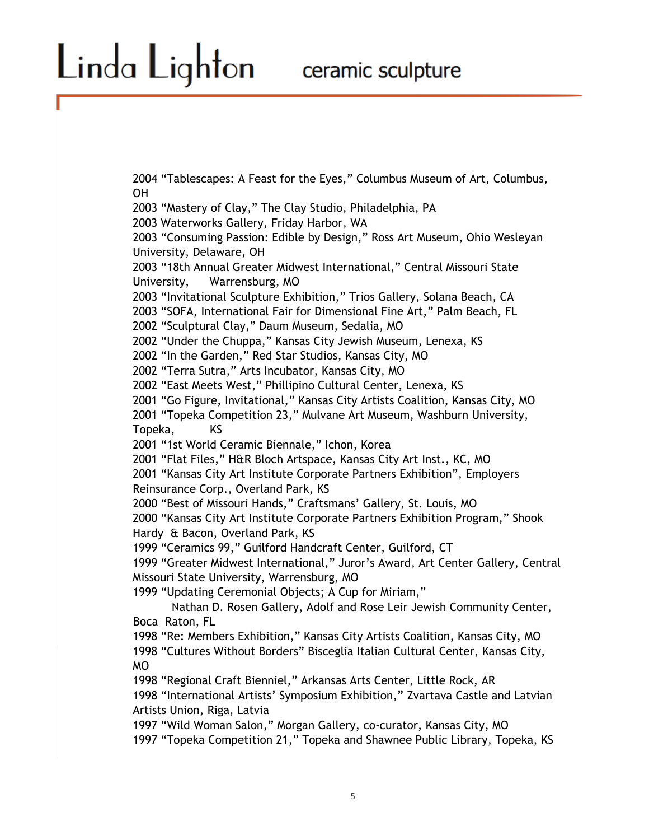# Linda Lighton

2004 "Tablescapes: A Feast for the Eyes," Columbus Museum of Art, Columbus, OH

2003 "Mastery of Clay," The Clay Studio, Philadelphia, PA 2003 Waterworks Gallery, Friday Harbor, WA 2003 "Consuming Passion: Edible by Design," Ross Art Museum, Ohio Wesleyan University, Delaware, OH 2003 "18th Annual Greater Midwest International," Central Missouri State University, Warrensburg, MO 2003 "Invitational Sculpture Exhibition," Trios Gallery, Solana Beach, CA 2003 "SOFA, International Fair for Dimensional Fine Art," Palm Beach, FL 2002 "Sculptural Clay," Daum Museum, Sedalia, MO 2002 "Under the Chuppa," Kansas City Jewish Museum, Lenexa, KS 2002 "In the Garden," Red Star Studios, Kansas City, MO 2002 "Terra Sutra," Arts Incubator, Kansas City, MO 2002 "East Meets West," Phillipino Cultural Center, Lenexa, KS 2001 "Go Figure, Invitational," Kansas City Artists Coalition, Kansas City, MO 2001 "Topeka Competition 23," Mulvane Art Museum, Washburn University, Topeka, KS 2001 "1st World Ceramic Biennale," Ichon, Korea 2001 "Flat Files," H&R Bloch Artspace, Kansas City Art Inst., KC, MO 2001 "Kansas City Art Institute Corporate Partners Exhibition", Employers Reinsurance Corp., Overland Park, KS 2000 "Best of Missouri Hands," Craftsmans' Gallery, St. Louis, MO 2000 "Kansas City Art Institute Corporate Partners Exhibition Program," Shook Hardy & Bacon, Overland Park, KS 1999 "Ceramics 99," Guilford Handcraft Center, Guilford, CT 1999 "Greater Midwest International," Juror's Award, Art Center Gallery, Central Missouri State University, Warrensburg, MO 1999 "Updating Ceremonial Objects; A Cup for Miriam," Nathan D. Rosen Gallery, Adolf and Rose Leir Jewish Community Center, Boca Raton, FL 1998 "Re: Members Exhibition," Kansas City Artists Coalition, Kansas City, MO 1998 "Cultures Without Borders" Bisceglia Italian Cultural Center, Kansas City, MO 1998 "Regional Craft Bienniel," Arkansas Arts Center, Little Rock, AR 1998 "International Artists' Symposium Exhibition," Zvartava Castle and Latvian Artists Union, Riga, Latvia 1997 "Wild Woman Salon," Morgan Gallery, co-curator, Kansas City, MO 1997 "Topeka Competition 21," Topeka and Shawnee Public Library, Topeka, KS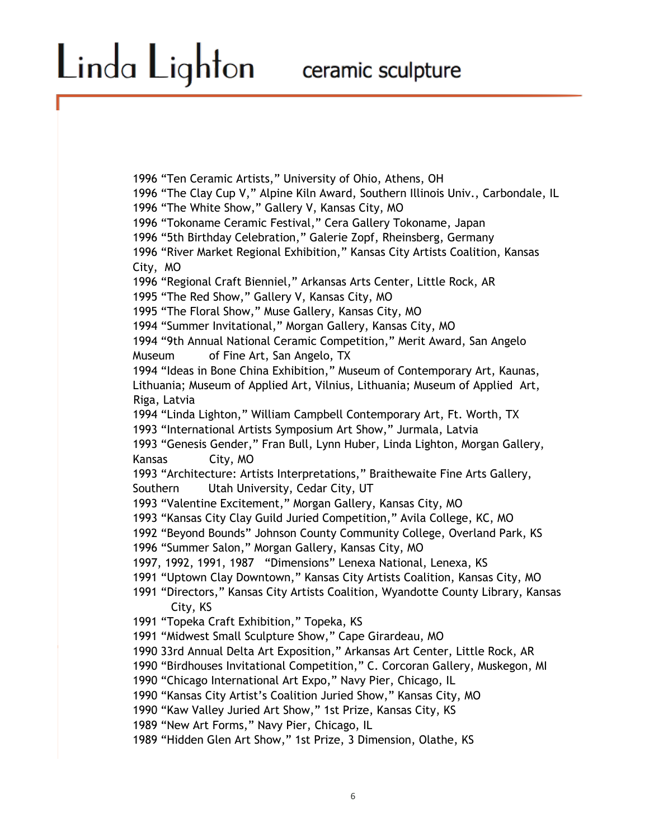1996 "Ten Ceramic Artists," University of Ohio, Athens, OH 1996 "The Clay Cup V," Alpine Kiln Award, Southern Illinois Univ., Carbondale, IL 1996 "The White Show," Gallery V, Kansas City, MO 1996 "Tokoname Ceramic Festival," Cera Gallery Tokoname, Japan 1996 "5th Birthday Celebration," Galerie Zopf, Rheinsberg, Germany 1996 "River Market Regional Exhibition," Kansas City Artists Coalition, Kansas City, MO 1996 "Regional Craft Bienniel," Arkansas Arts Center, Little Rock, AR 1995 "The Red Show," Gallery V, Kansas City, MO 1995 "The Floral Show," Muse Gallery, Kansas City, MO 1994 "Summer Invitational," Morgan Gallery, Kansas City, MO 1994 "9th Annual National Ceramic Competition," Merit Award, San Angelo Museum of Fine Art, San Angelo, TX 1994 "Ideas in Bone China Exhibition," Museum of Contemporary Art, Kaunas, Lithuania; Museum of Applied Art, Vilnius, Lithuania; Museum of Applied Art, Riga, Latvia 1994 "Linda Lighton," William Campbell Contemporary Art, Ft. Worth, TX 1993 "International Artists Symposium Art Show," Jurmala, Latvia 1993 "Genesis Gender," Fran Bull, Lynn Huber, Linda Lighton, Morgan Gallery, Kansas City, MO 1993 "Architecture: Artists Interpretations," Braithewaite Fine Arts Gallery, Southern Utah University, Cedar City, UT 1993 "Valentine Excitement," Morgan Gallery, Kansas City, MO 1993 "Kansas City Clay Guild Juried Competition," Avila College, KC, MO 1992 "Beyond Bounds" Johnson County Community College, Overland Park, KS 1996 "Summer Salon," Morgan Gallery, Kansas City, MO 1997, 1992, 1991, 1987 "Dimensions" Lenexa National, Lenexa, KS 1991 "Uptown Clay Downtown," Kansas City Artists Coalition, Kansas City, MO 1991 "Directors," Kansas City Artists Coalition, Wyandotte County Library, Kansas City, KS 1991 "Topeka Craft Exhibition," Topeka, KS 1991 "Midwest Small Sculpture Show," Cape Girardeau, MO 1990 33rd Annual Delta Art Exposition," Arkansas Art Center, Little Rock, AR 1990 "Birdhouses Invitational Competition," C. Corcoran Gallery, Muskegon, MI 1990 "Chicago International Art Expo," Navy Pier, Chicago, IL 1990 "Kansas City Artist's Coalition Juried Show," Kansas City, MO 1990 "Kaw Valley Juried Art Show," 1st Prize, Kansas City, KS 1989 "New Art Forms," Navy Pier, Chicago, IL 1989 "Hidden Glen Art Show," 1st Prize, 3 Dimension, Olathe, KS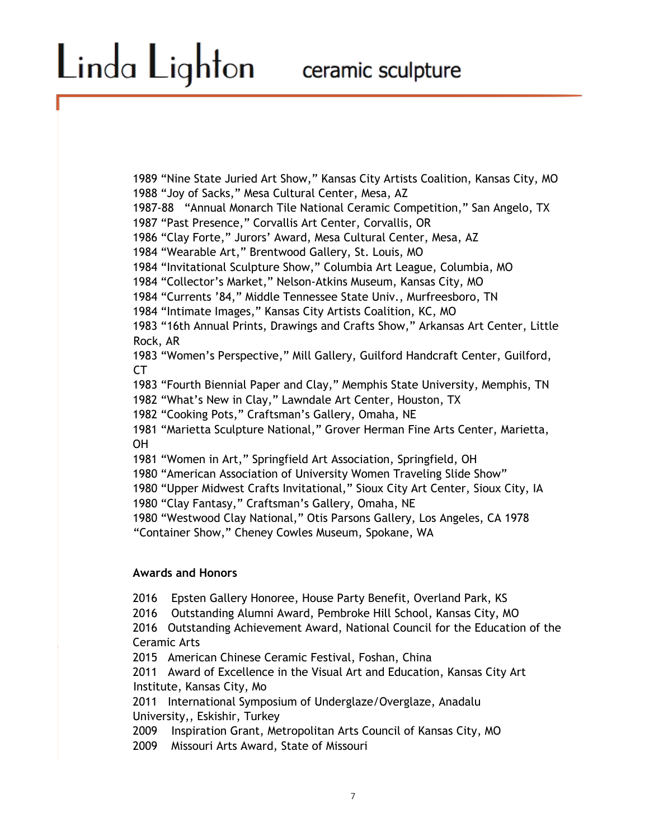1989 "Nine State Juried Art Show," Kansas City Artists Coalition, Kansas City, MO 1988 "Joy of Sacks," Mesa Cultural Center, Mesa, AZ 1987-88 "Annual Monarch Tile National Ceramic Competition," San Angelo, TX 1987 "Past Presence," Corvallis Art Center, Corvallis, OR 1986 "Clay Forte," Jurors' Award, Mesa Cultural Center, Mesa, AZ 1984 "Wearable Art," Brentwood Gallery, St. Louis, MO 1984 "Invitational Sculpture Show," Columbia Art League, Columbia, MO 1984 "Collector's Market," Nelson-Atkins Museum, Kansas City, MO 1984 "Currents '84," Middle Tennessee State Univ., Murfreesboro, TN 1984 "Intimate Images," Kansas City Artists Coalition, KC, MO 1983 "16th Annual Prints, Drawings and Crafts Show," Arkansas Art Center, Little Rock, AR 1983 "Women's Perspective," Mill Gallery, Guilford Handcraft Center, Guilford, CT 1983 "Fourth Biennial Paper and Clay," Memphis State University, Memphis, TN 1982 "What's New in Clay," Lawndale Art Center, Houston, TX 1982 "Cooking Pots," Craftsman's Gallery, Omaha, NE 1981 "Marietta Sculpture National," Grover Herman Fine Arts Center, Marietta, OH 1981 "Women in Art," Springfield Art Association, Springfield, OH 1980 "American Association of University Women Traveling Slide Show" 1980 "Upper Midwest Crafts Invitational," Sioux City Art Center, Sioux City, IA 1980 "Clay Fantasy," Craftsman's Gallery, Omaha, NE 1980 "Westwood Clay National," Otis Parsons Gallery, Los Angeles, CA 1978 "Container Show," Cheney Cowles Museum, Spokane, WA **Awards and Honors**  2016 Epsten Gallery Honoree, House Party Benefit, Overland Park, KS 2016 Outstanding Alumni Award, Pembroke Hill School, Kansas City, MO 2016 Outstanding Achievement Award, National Council for the Education of the Ceramic Arts

2015 American Chinese Ceramic Festival, Foshan, China

2011 Award of Excellence in the Visual Art and Education, Kansas City Art Institute, Kansas City, Mo

2011 International Symposium of Underglaze/Overglaze, Anadalu University,, Eskishir, Turkey

2009 Inspiration Grant, Metropolitan Arts Council of Kansas City, MO

2009 Missouri Arts Award, State of Missouri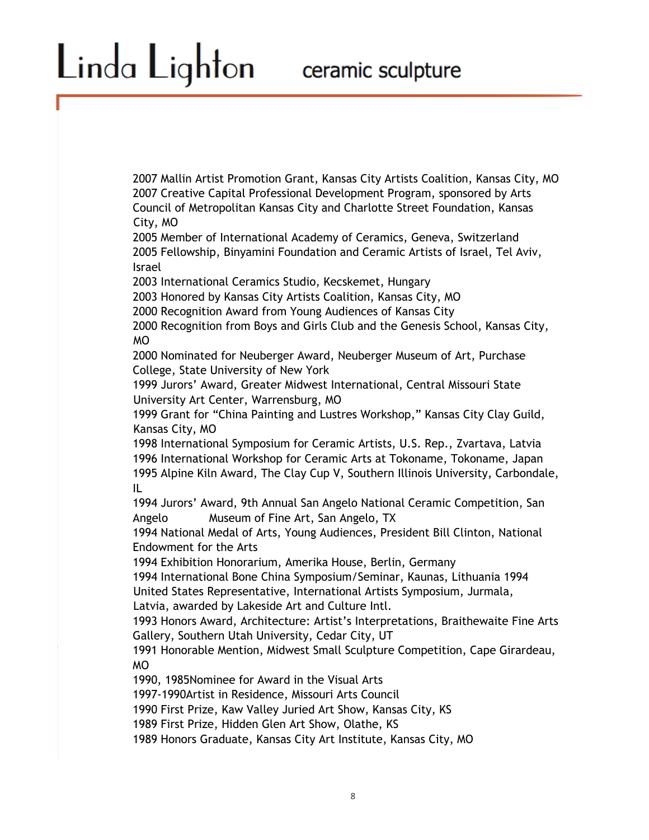2007 Mallin Artist Promotion Grant, Kansas City Artists Coalition, Kansas City, MO 2007 Creative Capital Professional Development Program, sponsored by Arts Council of Metropolitan Kansas City and Charlotte Street Foundation, Kansas City, MO

2005 Member of International Academy of Ceramics, Geneva, Switzerland 2005 Fellowship, Binyamini Foundation and Ceramic Artists of Israel, Tel Aviv, Israel

2003 International Ceramics Studio, Kecskemet, Hungary

Linda Lighton

2003 Honored by Kansas City Artists Coalition, Kansas City, MO

2000 Recognition Award from Young Audiences of Kansas City

2000 Recognition from Boys and Girls Club and the Genesis School, Kansas City, MO

2000 Nominated for Neuberger Award, Neuberger Museum of Art, Purchase College, State University of New York

1999 Jurors' Award, Greater Midwest International, Central Missouri State University Art Center, Warrensburg, MO

1999 Grant for "China Painting and Lustres Workshop," Kansas City Clay Guild, Kansas City, MO

1998 International Symposium for Ceramic Artists, U.S. Rep., Zvartava, Latvia 1996 International Workshop for Ceramic Arts at Tokoname, Tokoname, Japan 1995 Alpine Kiln Award, The Clay Cup V, Southern Illinois University, Carbondale, IL

1994 Jurors' Award, 9th Annual San Angelo National Ceramic Competition, San Angelo Museum of Fine Art, San Angelo, TX

1994 National Medal of Arts, Young Audiences, President Bill Clinton, National Endowment for the Arts

1994 Exhibition Honorarium, Amerika House, Berlin, Germany

1994 International Bone China Symposium/Seminar, Kaunas, Lithuania 1994 United States Representative, International Artists Symposium, Jurmala,

Latvia, awarded by Lakeside Art and Culture Intl.

1993 Honors Award, Architecture: Artist's Interpretations, Braithewaite Fine Arts Gallery, Southern Utah University, Cedar City, UT

1991 Honorable Mention, Midwest Small Sculpture Competition, Cape Girardeau, MO

1990, 1985Nominee for Award in the Visual Arts

1997-1990Artist in Residence, Missouri Arts Council

1990 First Prize, Kaw Valley Juried Art Show, Kansas City, KS

1989 First Prize, Hidden Glen Art Show, Olathe, KS

1989 Honors Graduate, Kansas City Art Institute, Kansas City, MO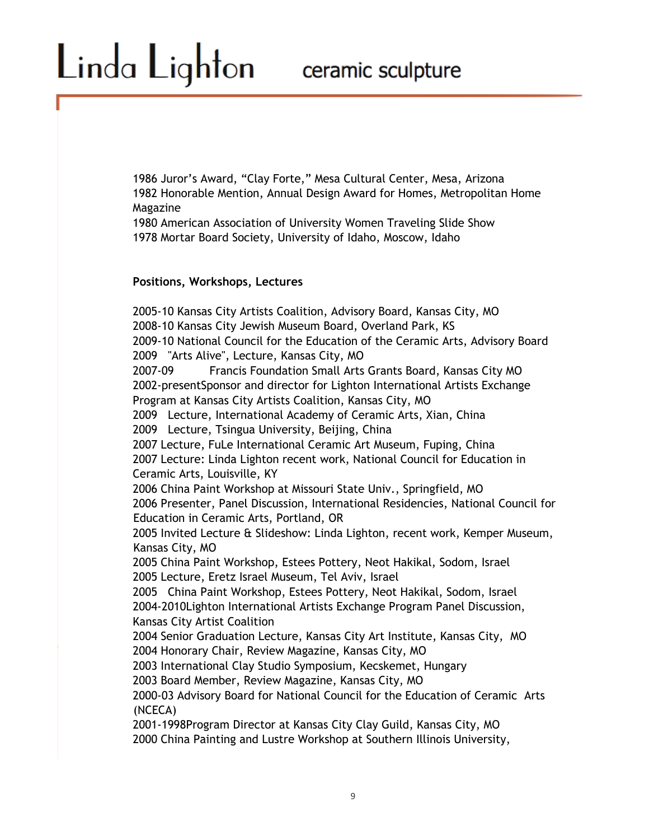1986 Juror's Award, "Clay Forte," Mesa Cultural Center, Mesa, Arizona 1982 Honorable Mention, Annual Design Award for Homes, Metropolitan Home Magazine

1980 American Association of University Women Traveling Slide Show 1978 Mortar Board Society, University of Idaho, Moscow, Idaho

#### **Positions, Workshops, Lectures**

Linda Lighton

2005-10 Kansas City Artists Coalition, Advisory Board, Kansas City, MO 2008-10 Kansas City Jewish Museum Board, Overland Park, KS 2009-10 National Council for the Education of the Ceramic Arts, Advisory Board 2009 "Arts Alive", Lecture, Kansas City, MO 2007-09 Francis Foundation Small Arts Grants Board, Kansas City MO 2002-presentSponsor and director for Lighton International Artists Exchange Program at Kansas City Artists Coalition, Kansas City, MO 2009 Lecture, International Academy of Ceramic Arts, Xian, China 2009 Lecture, Tsingua University, Beijing, China 2007 Lecture, FuLe International Ceramic Art Museum, Fuping, China 2007 Lecture: Linda Lighton recent work, National Council for Education in Ceramic Arts, Louisville, KY 2006 China Paint Workshop at Missouri State Univ., Springfield, MO 2006 Presenter, Panel Discussion, International Residencies, National Council for Education in Ceramic Arts, Portland, OR 2005 Invited Lecture & Slideshow: Linda Lighton, recent work, Kemper Museum, Kansas City, MO 2005 China Paint Workshop, Estees Pottery, Neot Hakikal, Sodom, Israel 2005 Lecture, Eretz Israel Museum, Tel Aviv, Israel 2005 China Paint Workshop, Estees Pottery, Neot Hakikal, Sodom, Israel 2004-2010Lighton International Artists Exchange Program Panel Discussion, Kansas City Artist Coalition 2004 Senior Graduation Lecture, Kansas City Art Institute, Kansas City, MO 2004 Honorary Chair, Review Magazine, Kansas City, MO 2003 International Clay Studio Symposium, Kecskemet, Hungary 2003 Board Member, Review Magazine, Kansas City, MO 2000-03 Advisory Board for National Council for the Education of Ceramic Arts (NCECA) 2001-1998Program Director at Kansas City Clay Guild, Kansas City, MO 2000 China Painting and Lustre Workshop at Southern Illinois University,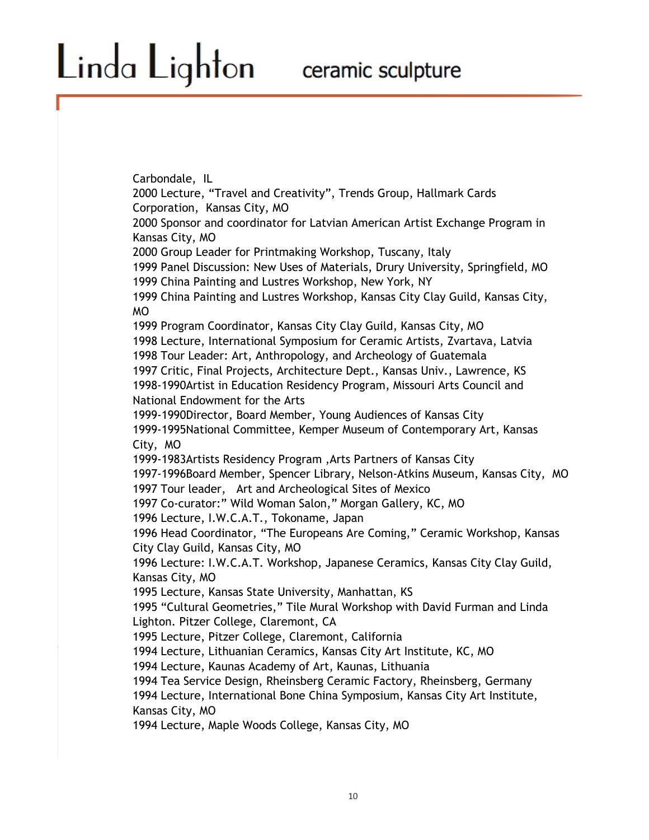Linda Lighton

Carbondale, IL 2000 Lecture, "Travel and Creativity", Trends Group, Hallmark Cards Corporation, Kansas City, MO 2000 Sponsor and coordinator for Latvian American Artist Exchange Program in Kansas City, MO 2000 Group Leader for Printmaking Workshop, Tuscany, Italy 1999 Panel Discussion: New Uses of Materials, Drury University, Springfield, MO 1999 China Painting and Lustres Workshop, New York, NY 1999 China Painting and Lustres Workshop, Kansas City Clay Guild, Kansas City, MO 1999 Program Coordinator, Kansas City Clay Guild, Kansas City, MO 1998 Lecture, International Symposium for Ceramic Artists, Zvartava, Latvia 1998 Tour Leader: Art, Anthropology, and Archeology of Guatemala 1997 Critic, Final Projects, Architecture Dept., Kansas Univ., Lawrence, KS 1998-1990Artist in Education Residency Program, Missouri Arts Council and National Endowment for the Arts 1999-1990Director, Board Member, Young Audiences of Kansas City 1999-1995National Committee, Kemper Museum of Contemporary Art, Kansas City, MO 1999-1983Artists Residency Program ,Arts Partners of Kansas City 1997-1996Board Member, Spencer Library, Nelson-Atkins Museum, Kansas City, MO 1997 Tour leader, Art and Archeological Sites of Mexico 1997 Co-curator:" Wild Woman Salon," Morgan Gallery, KC, MO 1996 Lecture, I.W.C.A.T., Tokoname, Japan 1996 Head Coordinator, "The Europeans Are Coming," Ceramic Workshop, Kansas City Clay Guild, Kansas City, MO 1996 Lecture: I.W.C.A.T. Workshop, Japanese Ceramics, Kansas City Clay Guild, Kansas City, MO 1995 Lecture, Kansas State University, Manhattan, KS 1995 "Cultural Geometries," Tile Mural Workshop with David Furman and Linda Lighton. Pitzer College, Claremont, CA 1995 Lecture, Pitzer College, Claremont, California 1994 Lecture, Lithuanian Ceramics, Kansas City Art Institute, KC, MO 1994 Lecture, Kaunas Academy of Art, Kaunas, Lithuania 1994 Tea Service Design, Rheinsberg Ceramic Factory, Rheinsberg, Germany 1994 Lecture, International Bone China Symposium, Kansas City Art Institute, Kansas City, MO

1994 Lecture, Maple Woods College, Kansas City, MO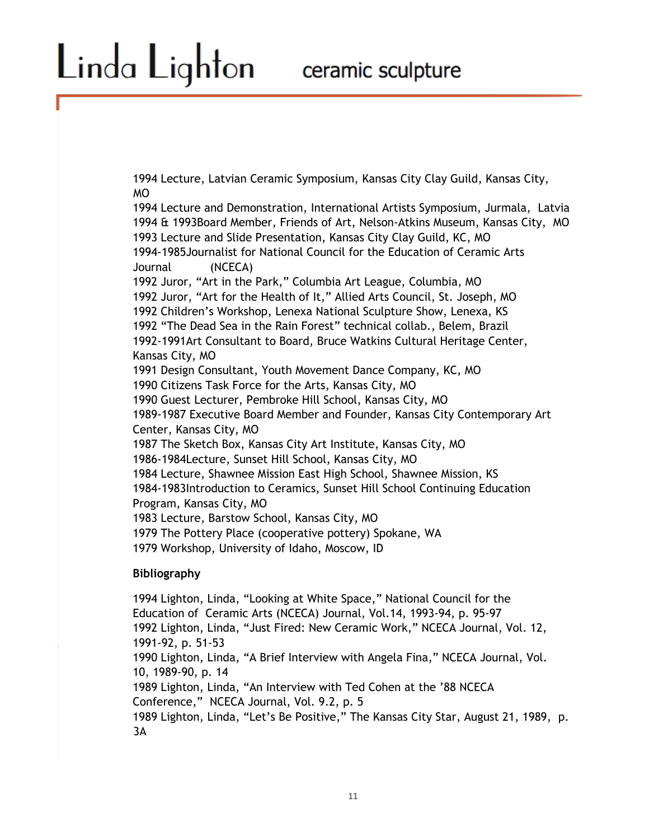1994 Lecture, Latvian Ceramic Symposium, Kansas City Clay Guild, Kansas City, MO

1994 Lecture and Demonstration, International Artists Symposium, Jurmala, Latvia 1994 & 1993Board Member, Friends of Art, Nelson-Atkins Museum, Kansas City, MO 1993 Lecture and Slide Presentation, Kansas City Clay Guild, KC, MO 1994-1985Journalist for National Council for the Education of Ceramic Arts Journal (NCECA) 1992 Juror, "Art in the Park," Columbia Art League, Columbia, MO 1992 Juror, "Art for the Health of It," Allied Arts Council, St. Joseph, MO 1992 Children's Workshop, Lenexa National Sculpture Show, Lenexa, KS 1992 "The Dead Sea in the Rain Forest" technical collab., Belem, Brazil 1992-1991Art Consultant to Board, Bruce Watkins Cultural Heritage Center, Kansas City, MO 1991 Design Consultant, Youth Movement Dance Company, KC, MO 1990 Citizens Task Force for the Arts, Kansas City, MO 1990 Guest Lecturer, Pembroke Hill School, Kansas City, MO 1989-1987 Executive Board Member and Founder, Kansas City Contemporary Art Center, Kansas City, MO 1987 The Sketch Box, Kansas City Art Institute, Kansas City, MO 1986-1984Lecture, Sunset Hill School, Kansas City, MO 1984 Lecture, Shawnee Mission East High School, Shawnee Mission, KS 1984-1983Introduction to Ceramics, Sunset Hill School Continuing Education Program, Kansas City, MO 1983 Lecture, Barstow School, Kansas City, MO 1979 The Pottery Place (cooperative pottery) Spokane, WA 1979 Workshop, University of Idaho, Moscow, ID

#### **Bibliography**

Linda Lighton

1994 Lighton, Linda, "Looking at White Space," National Council for the Education of Ceramic Arts (NCECA) Journal, Vol.14, 1993-94, p. 95-97 1992 Lighton, Linda, "Just Fired: New Ceramic Work," NCECA Journal, Vol. 12, 1991-92, p. 51-53 1990 Lighton, Linda, "A Brief Interview with Angela Fina," NCECA Journal, Vol. 10, 1989-90, p. 14 1989 Lighton, Linda, "An Interview with Ted Cohen at the '88 NCECA Conference," NCECA Journal, Vol. 9.2, p. 5 1989 Lighton, Linda, "Let's Be Positive," The Kansas City Star, August 21, 1989, p. 3A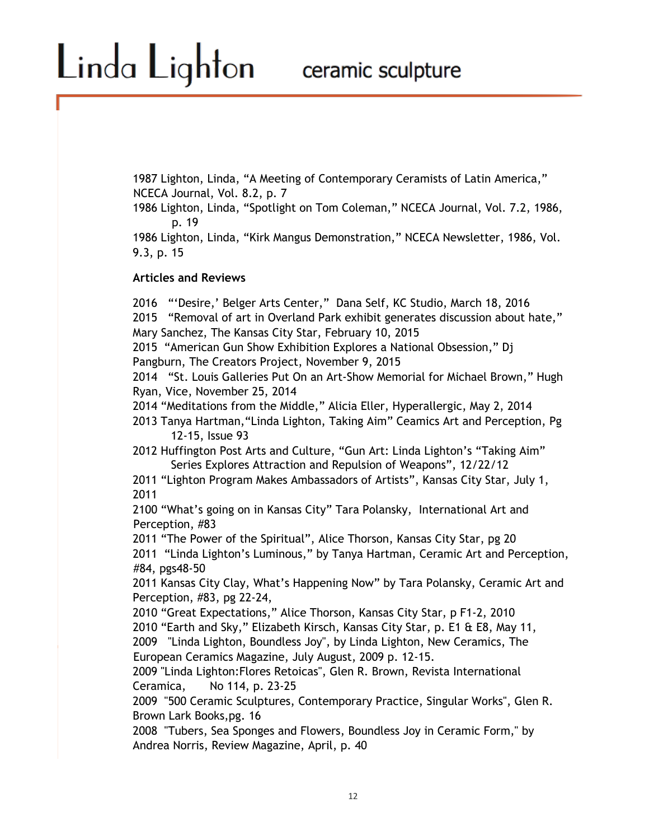1987 Lighton, Linda, "A Meeting of Contemporary Ceramists of Latin America," NCECA Journal, Vol. 8.2, p. 7

1986 Lighton, Linda, "Spotlight on Tom Coleman," NCECA Journal, Vol. 7.2, 1986, p. 19

1986 Lighton, Linda, "Kirk Mangus Demonstration," NCECA Newsletter, 1986, Vol. 9.3, p. 15

#### **Articles and Reviews**

Linda Lighton

2016 "'Desire,' Belger Arts Center," Dana Self, KC Studio, March 18, 2016 2015 "Removal of art in Overland Park exhibit generates discussion about hate," Mary Sanchez, The Kansas City Star, February 10, 2015

2015 "American Gun Show Exhibition Explores a National Obsession," Dj Pangburn, The Creators Project, November 9, 2015

2014 "St. Louis Galleries Put On an Art-Show Memorial for Michael Brown," Hugh Ryan, Vice, November 25, 2014

2014 "Meditations from the Middle," Alicia Eller, Hyperallergic, May 2, 2014

2013 Tanya Hartman,"Linda Lighton, Taking Aim" Ceamics Art and Perception, Pg 12-15, Issue 93

2012 Huffington Post Arts and Culture, "Gun Art: Linda Lighton's "Taking Aim" Series Explores Attraction and Repulsion of Weapons", 12/22/12

2011 "Lighton Program Makes Ambassadors of Artists", Kansas City Star, July 1, 2011

2100 "What's going on in Kansas City" Tara Polansky, International Art and Perception, #83

2011 "The Power of the Spiritual", Alice Thorson, Kansas City Star, pg 20

2011 "Linda Lighton's Luminous," by Tanya Hartman, Ceramic Art and Perception, #84, pgs48-50

2011 Kansas City Clay, What's Happening Now" by Tara Polansky, Ceramic Art and Perception, #83, pg 22-24,

2010 "Great Expectations," Alice Thorson, Kansas City Star, p F1-2, 2010 2010 "Earth and Sky," Elizabeth Kirsch, Kansas City Star, p. E1 & E8, May 11, 2009 "Linda Lighton, Boundless Joy", by Linda Lighton, New Ceramics, The European Ceramics Magazine, July August, 2009 p. 12-15.

2009 "Linda Lighton:Flores Retoicas", Glen R. Brown, Revista International Ceramica, No 114, p. 23-25

2009 "500 Ceramic Sculptures, Contemporary Practice, Singular Works", Glen R. Brown Lark Books,pg. 16

2008 "Tubers, Sea Sponges and Flowers, Boundless Joy in Ceramic Form," by Andrea Norris, Review Magazine, April, p. 40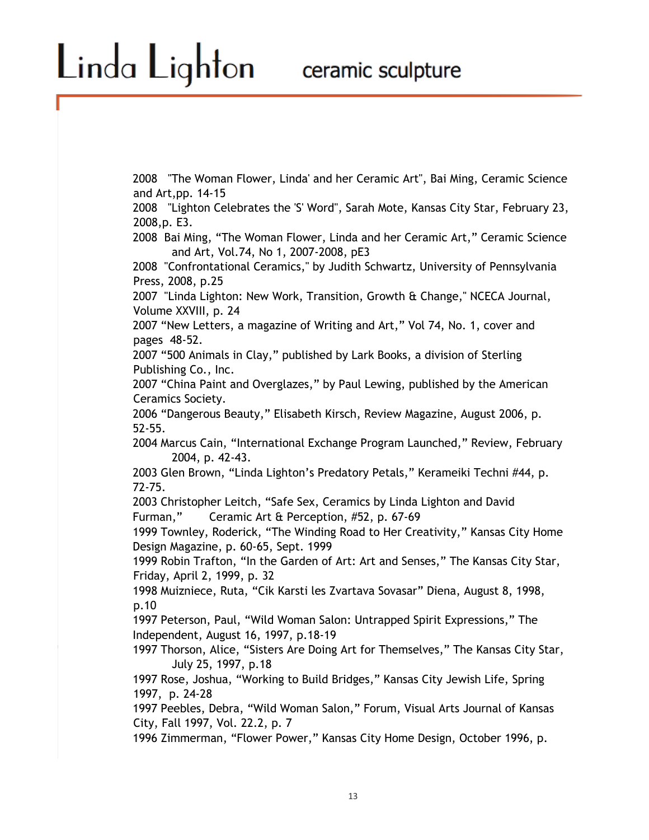# Linda Lighton

2008 "The Woman Flower, Linda' and her Ceramic Art", Bai Ming, Ceramic Science and Art,pp. 14-15

2008 "Lighton Celebrates the 'S' Word", Sarah Mote, Kansas City Star, February 23, 2008,p. E3.

2008 Bai Ming, "The Woman Flower, Linda and her Ceramic Art," Ceramic Science and Art, Vol.74, No 1, 2007-2008, pE3

2008 "Confrontational Ceramics," by Judith Schwartz, University of Pennsylvania Press, 2008, p.25

2007 "Linda Lighton: New Work, Transition, Growth & Change," NCECA Journal, Volume XXVIII, p. 24

2007 "New Letters, a magazine of Writing and Art," Vol 74, No. 1, cover and pages 48-52.

2007 "500 Animals in Clay," published by Lark Books, a division of Sterling Publishing Co., Inc.

2007 "China Paint and Overglazes," by Paul Lewing, published by the American Ceramics Society.

2006 "Dangerous Beauty," Elisabeth Kirsch, Review Magazine, August 2006, p. 52-55.

2004 Marcus Cain, "International Exchange Program Launched," Review, February 2004, p. 42-43.

2003 Glen Brown, "Linda Lighton's Predatory Petals," Kerameiki Techni #44, p. 72-75.

2003 Christopher Leitch, "Safe Sex, Ceramics by Linda Lighton and David Furman," Ceramic Art & Perception, #52, p. 67-69

1999 Townley, Roderick, "The Winding Road to Her Creativity," Kansas City Home Design Magazine, p. 60-65, Sept. 1999

1999 Robin Trafton, "In the Garden of Art: Art and Senses," The Kansas City Star, Friday, April 2, 1999, p. 32

1998 Muizniece, Ruta, "Cik Karsti les Zvartava Sovasar" Diena, August 8, 1998, p.10

1997 Peterson, Paul, "Wild Woman Salon: Untrapped Spirit Expressions," The Independent, August 16, 1997, p.18-19

1997 Thorson, Alice, "Sisters Are Doing Art for Themselves," The Kansas City Star, July 25, 1997, p.18

1997 Rose, Joshua, "Working to Build Bridges," Kansas City Jewish Life, Spring 1997, p. 24-28

1997 Peebles, Debra, "Wild Woman Salon," Forum, Visual Arts Journal of Kansas City, Fall 1997, Vol. 22.2, p. 7

1996 Zimmerman, "Flower Power," Kansas City Home Design, October 1996, p.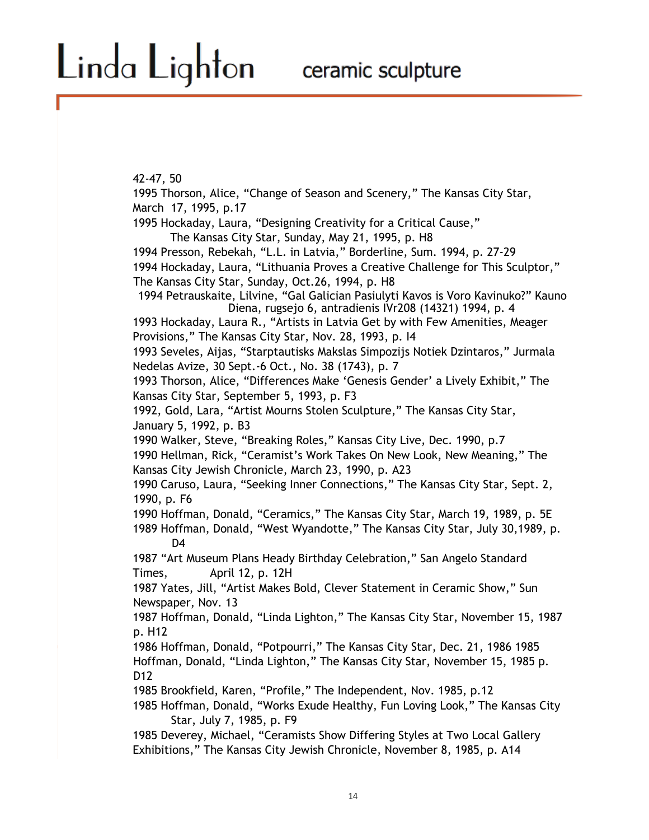42-47, 50

1995 Thorson, Alice, "Change of Season and Scenery," The Kansas City Star, March 17, 1995, p.17 1995 Hockaday, Laura, "Designing Creativity for a Critical Cause," The Kansas City Star, Sunday, May 21, 1995, p. H8 1994 Presson, Rebekah, "L.L. in Latvia," Borderline, Sum. 1994, p. 27-29 1994 Hockaday, Laura, "Lithuania Proves a Creative Challenge for This Sculptor," The Kansas City Star, Sunday, Oct.26, 1994, p. H8 1994 Petrauskaite, Lilvine, "Gal Galician Pasiulyti Kavos is Voro Kavinuko?" Kauno Diena, rugsejo 6, antradienis IVr208 (14321) 1994, p. 4 1993 Hockaday, Laura R., "Artists in Latvia Get by with Few Amenities, Meager Provisions," The Kansas City Star, Nov. 28, 1993, p. I4 1993 Seveles, Aijas, "Starptautisks Makslas Simpozijs Notiek Dzintaros," Jurmala Nedelas Avize, 30 Sept.-6 Oct., No. 38 (1743), p. 7 1993 Thorson, Alice, "Differences Make 'Genesis Gender' a Lively Exhibit," The Kansas City Star, September 5, 1993, p. F3 1992, Gold, Lara, "Artist Mourns Stolen Sculpture," The Kansas City Star, January 5, 1992, p. B3 1990 Walker, Steve, "Breaking Roles," Kansas City Live, Dec. 1990, p.7 1990 Hellman, Rick, "Ceramist's Work Takes On New Look, New Meaning," The Kansas City Jewish Chronicle, March 23, 1990, p. A23 1990 Caruso, Laura, "Seeking Inner Connections," The Kansas City Star, Sept. 2, 1990, p. F6 1990 Hoffman, Donald, "Ceramics," The Kansas City Star, March 19, 1989, p. 5E 1989 Hoffman, Donald, "West Wyandotte," The Kansas City Star, July 30,1989, p. D<sub>4</sub> 1987 "Art Museum Plans Heady Birthday Celebration," San Angelo Standard Times, April 12, p. 12H 1987 Yates, Jill, "Artist Makes Bold, Clever Statement in Ceramic Show," Sun Newspaper, Nov. 13 1987 Hoffman, Donald, "Linda Lighton," The Kansas City Star, November 15, 1987 p. H12 1986 Hoffman, Donald, "Potpourri," The Kansas City Star, Dec. 21, 1986 1985 Hoffman, Donald, "Linda Lighton," The Kansas City Star, November 15, 1985 p. D<sub>12</sub> 1985 Brookfield, Karen, "Profile," The Independent, Nov. 1985, p.12 1985 Hoffman, Donald, "Works Exude Healthy, Fun Loving Look," The Kansas City Star, July 7, 1985, p. F9 1985 Deverey, Michael, "Ceramists Show Differing Styles at Two Local Gallery Exhibitions," The Kansas City Jewish Chronicle, November 8, 1985, p. A14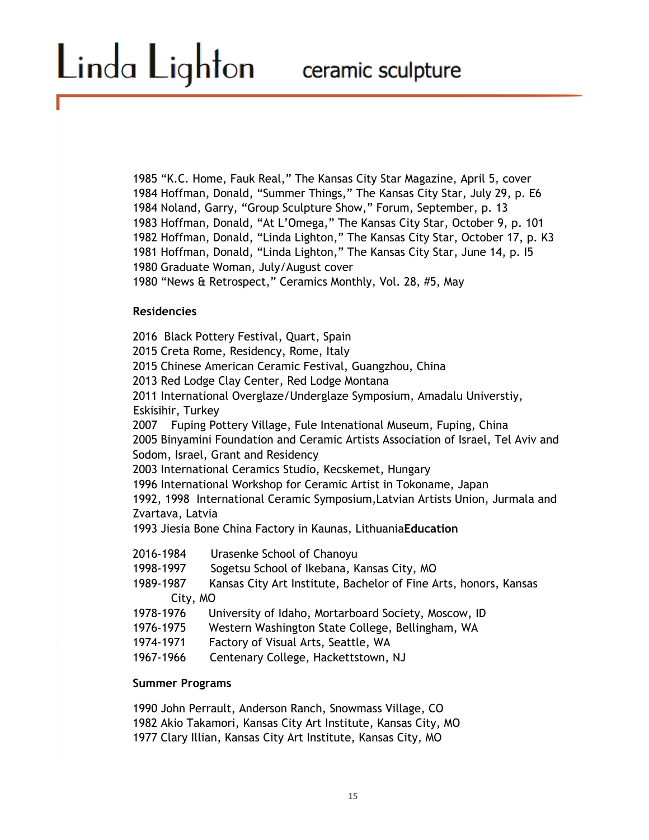1985 "K.C. Home, Fauk Real," The Kansas City Star Magazine, April 5, cover 1984 Hoffman, Donald, "Summer Things," The Kansas City Star, July 29, p. E6 1984 Noland, Garry, "Group Sculpture Show," Forum, September, p. 13 1983 Hoffman, Donald, "At L'Omega," The Kansas City Star, October 9, p. 101 1982 Hoffman, Donald, "Linda Lighton," The Kansas City Star, October 17, p. K3 1981 Hoffman, Donald, "Linda Lighton," The Kansas City Star, June 14, p. I5 1980 Graduate Woman, July/August cover

1980 "News & Retrospect," Ceramics Monthly, Vol. 28, #5, May

### **Residencies**

2016 Black Pottery Festival, Quart, Spain 2015 Creta Rome, Residency, Rome, Italy 2015 Chinese American Ceramic Festival, Guangzhou, China 2013 Red Lodge Clay Center, Red Lodge Montana 2011 International Overglaze/Underglaze Symposium, Amadalu Universtiy, Eskisihir, Turkey 2007 Fuping Pottery Village, Fule Intenational Museum, Fuping, China 2005 Binyamini Foundation and Ceramic Artists Association of Israel, Tel Aviv and Sodom, Israel, Grant and Residency 2003 International Ceramics Studio, Kecskemet, Hungary 1996 International Workshop for Ceramic Artist in Tokoname, Japan 1992, 1998 International Ceramic Symposium,Latvian Artists Union, Jurmala and Zvartava, Latvia 1993 Jiesia Bone China Factory in Kaunas, Lithuania**Education**  2016-1984 Urasenke School of Chanoyu 1998-1997 Sogetsu School of Ikebana, Kansas City, MO 1989-1987 Kansas City Art Institute, Bachelor of Fine Arts, honors, Kansas

- City, MO
- 1978-1976 University of Idaho, Mortarboard Society, Moscow, ID
- 1976-1975 Western Washington State College, Bellingham, WA
- 1974-1971 Factory of Visual Arts, Seattle, WA
- 1967-1966 Centenary College, Hackettstown, NJ

#### **Summer Programs**

1990 John Perrault, Anderson Ranch, Snowmass Village, CO 1982 Akio Takamori, Kansas City Art Institute, Kansas City, MO 1977 Clary Illian, Kansas City Art Institute, Kansas City, MO